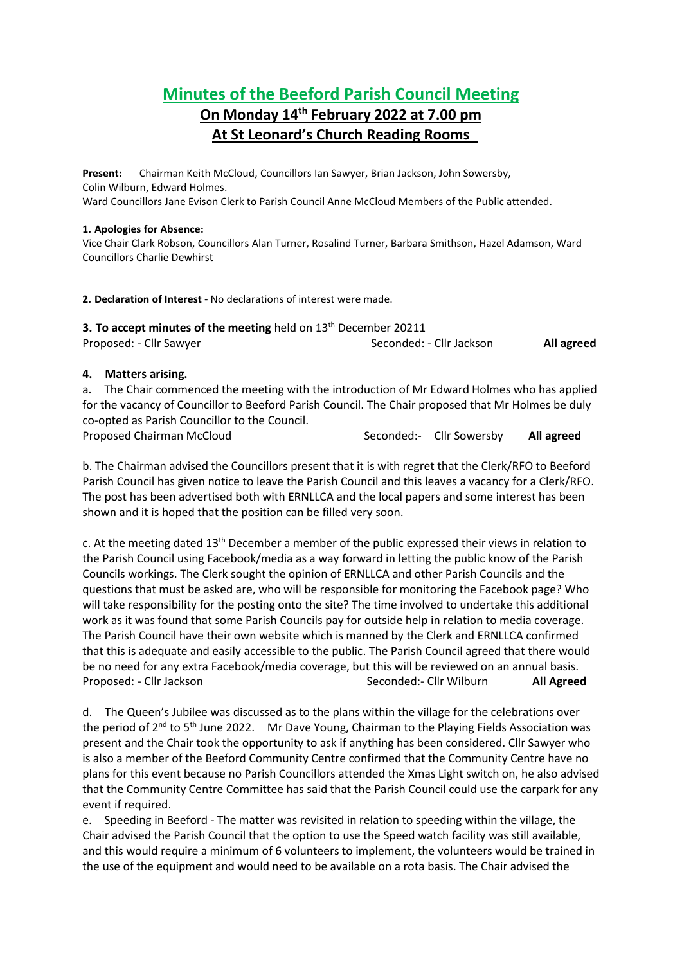# **Minutes of the Beeford Parish Council Meeting On Monday 14th February 2022 at 7.00 pm At St Leonard's Church Reading Rooms**

**Present:** Chairman Keith McCloud, Councillors Ian Sawyer, Brian Jackson, John Sowersby, Colin Wilburn, Edward Holmes. Ward Councillors Jane Evison Clerk to Parish Council Anne McCloud Members of the Public attended.

#### **1. Apologies for Absence:**

Vice Chair Clark Robson, Councillors Alan Turner, Rosalind Turner, Barbara Smithson, Hazel Adamson, Ward Councillors Charlie Dewhirst

**2. Declaration of Interest** - No declarations of interest were made.

| 3. To accept minutes of the meeting held on $13th$ December 20211 |                          |            |
|-------------------------------------------------------------------|--------------------------|------------|
| Proposed: - Cllr Sawyer                                           | Seconded: - Cllr Jackson | All agreed |

### **4. Matters arising.**

a. The Chair commenced the meeting with the introduction of Mr Edward Holmes who has applied for the vacancy of Councillor to Beeford Parish Council. The Chair proposed that Mr Holmes be duly co-opted as Parish Councillor to the Council.

Proposed Chairman McCloud Seconded:- Cllr Sowersby **All agreed**

b. The Chairman advised the Councillors present that it is with regret that the Clerk/RFO to Beeford Parish Council has given notice to leave the Parish Council and this leaves a vacancy for a Clerk/RFO. The post has been advertised both with ERNLLCA and the local papers and some interest has been shown and it is hoped that the position can be filled very soon.

c. At the meeting dated 13<sup>th</sup> December a member of the public expressed their views in relation to the Parish Council using Facebook/media as a way forward in letting the public know of the Parish Councils workings. The Clerk sought the opinion of ERNLLCA and other Parish Councils and the questions that must be asked are, who will be responsible for monitoring the Facebook page? Who will take responsibility for the posting onto the site? The time involved to undertake this additional work as it was found that some Parish Councils pay for outside help in relation to media coverage. The Parish Council have their own website which is manned by the Clerk and ERNLLCA confirmed that this is adequate and easily accessible to the public. The Parish Council agreed that there would be no need for any extra Facebook/media coverage, but this will be reviewed on an annual basis. Proposed: - Cllr Jackson **Seconded:** - Cllr Wilburn **All Agreed** 

d. The Queen's Jubilee was discussed as to the plans within the village for the celebrations over the period of 2<sup>nd</sup> to 5<sup>th</sup> June 2022. Mr Dave Young, Chairman to the Playing Fields Association was present and the Chair took the opportunity to ask if anything has been considered. Cllr Sawyer who is also a member of the Beeford Community Centre confirmed that the Community Centre have no plans for this event because no Parish Councillors attended the Xmas Light switch on, he also advised that the Community Centre Committee has said that the Parish Council could use the carpark for any event if required.

e. Speeding in Beeford - The matter was revisited in relation to speeding within the village, the Chair advised the Parish Council that the option to use the Speed watch facility was still available, and this would require a minimum of 6 volunteers to implement, the volunteers would be trained in the use of the equipment and would need to be available on a rota basis. The Chair advised the